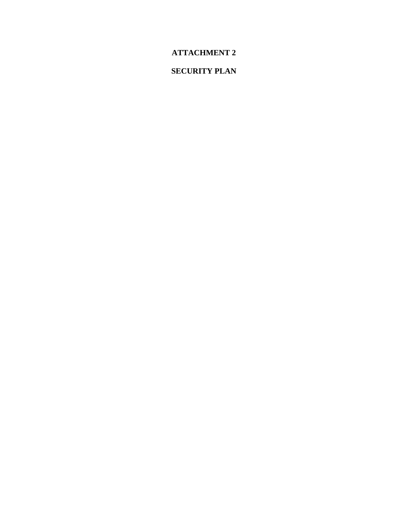# **ATTACHMENT 2**

## **SECURITY PLAN**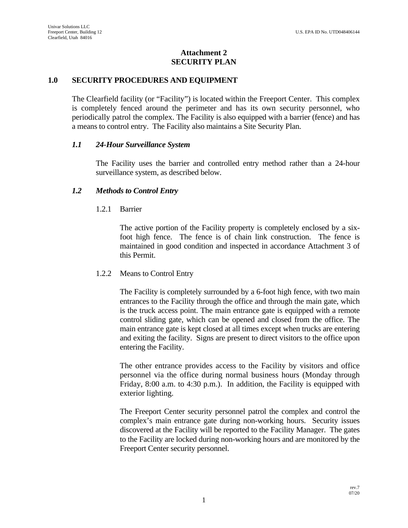## **Attachment 2 SECURITY PLAN**

## **1.0 SECURITY PROCEDURES AND EQUIPMENT**

The Clearfield facility (or "Facility") is located within the Freeport Center. This complex is completely fenced around the perimeter and has its own security personnel, who periodically patrol the complex. The Facility is also equipped with a barrier (fence) and has a means to control entry. The Facility also maintains a Site Security Plan.

## *1.1 24-Hour Surveillance System*

The Facility uses the barrier and controlled entry method rather than a 24-hour surveillance system, as described below.

## *1.2 Methods to Control Entry*

## 1.2.1 Barrier

The active portion of the Facility property is completely enclosed by a sixfoot high fence. The fence is of chain link construction. The fence is maintained in good condition and inspected in accordance Attachment 3 of this Permit.

## 1.2.2 Means to Control Entry

The Facility is completely surrounded by a 6-foot high fence, with two main entrances to the Facility through the office and through the main gate, which is the truck access point. The main entrance gate is equipped with a remote control sliding gate, which can be opened and closed from the office. The main entrance gate is kept closed at all times except when trucks are entering and exiting the facility. Signs are present to direct visitors to the office upon entering the Facility.

The other entrance provides access to the Facility by visitors and office personnel via the office during normal business hours (Monday through Friday, 8:00 a.m. to 4:30 p.m.). In addition, the Facility is equipped with exterior lighting.

The Freeport Center security personnel patrol the complex and control the complex's main entrance gate during non-working hours. Security issues discovered at the Facility will be reported to the Facility Manager. The gates to the Facility are locked during non-working hours and are monitored by the Freeport Center security personnel.